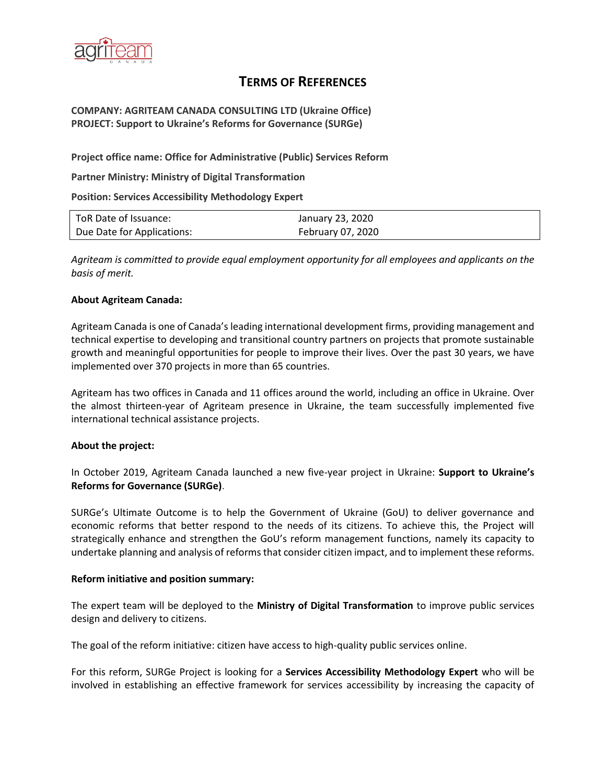

# **TERMS OF REFERENCES**

### **COMPANY: AGRITEAM CANADA CONSULTING LTD (Ukraine Office) PROJECT: Support to Ukraine's Reforms for Governance (SURGe)**

**Project office name: Office for Administrative (Public) Services Reform**

**Partner Ministry: Ministry of Digital Transformation**

**Position: Services Accessibility Methodology Expert**

| ToR Date of Issuance:      | January 23, 2020  |
|----------------------------|-------------------|
| Due Date for Applications: | February 07, 2020 |

*Agriteam is committed to provide equal employment opportunity for all employees and applicants on the basis of merit.*

#### **About Agriteam Canada:**

Agriteam Canada is one of Canada's leading international development firms, providing management and technical expertise to developing and transitional country partners on projects that promote sustainable growth and meaningful opportunities for people to improve their lives. Over the past 30 years, we have implemented over 370 projects in more than 65 countries.

Agriteam has two offices in Canada and 11 offices around the world, including an office in Ukraine. Over the almost thirteen-year of Agriteam presence in Ukraine, the team successfully implemented five international technical assistance projects.

### **About the project:**

In October 2019, Agriteam Canada launched a new five-year project in Ukraine: **Support to Ukraine's Reforms for Governance (SURGe)**.

SURGe's Ultimate Outcome is to help the Government of Ukraine (GoU) to deliver governance and economic reforms that better respond to the needs of its citizens. To achieve this, the Project will strategically enhance and strengthen the GoU's reform management functions, namely its capacity to undertake planning and analysis of reforms that consider citizen impact, and to implement these reforms.

#### **Reform initiative and position summary:**

The expert team will be deployed to the **Ministry of Digital Transformation** to improve public services design and delivery to citizens.

The goal of the reform initiative: citizen have access to high-quality public services online.

For this reform, SURGe Project is looking for а **Services Accessibility Methodology Expert** who will be involved in establishing an effective framework for services accessibility by increasing the capacity of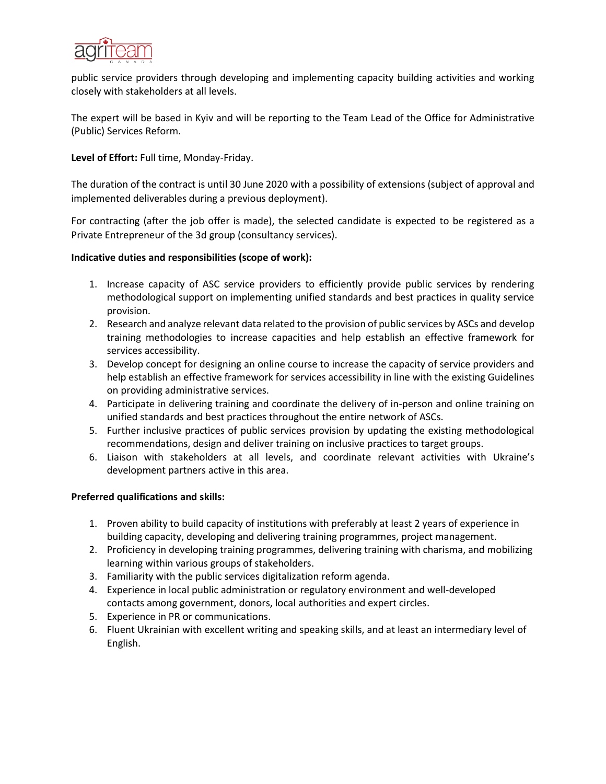

public service providers through developing and implementing capacity building activities and working closely with stakeholders at all levels.

The expert will be based in Kyiv and will be reporting to the Team Lead of the Office for Administrative (Public) Services Reform.

**Level of Effort:** Full time, Monday-Friday.

The duration of the contract is until 30 June 2020 with a possibility of extensions (subject of approval and implemented deliverables during a previous deployment).

For contracting (after the job offer is made), the selected candidate is expected to be registered as a Private Entrepreneur of the 3d group (consultancy services).

### **Indicative duties and responsibilities (scope of work):**

- 1. Increase capacity of ASC service providers to efficiently provide public services by rendering methodological support on implementing unified standards and best practices in quality service provision.
- 2. Research and analyze relevant data related to the provision of public services by ASCs and develop training methodologies to increase capacities and help establish an effective framework for services accessibility.
- 3. Develop concept for designing an online course to increase the capacity of service providers and help establish an effective framework for services accessibility in line with the existing Guidelines on providing administrative services.
- 4. Participate in delivering training and coordinate the delivery of in-person and online training on unified standards and best practices throughout the entire network of ASCs.
- 5. Further inclusive practices of public services provision by updating the existing methodological recommendations, design and deliver training on inclusive practices to target groups.
- 6. Liaison with stakeholders at all levels, and coordinate relevant activities with Ukraine's development partners active in this area.

### **Preferred qualifications and skills:**

- 1. Proven ability to build capacity of institutions with preferably at least 2 years of experience in building capacity, developing and delivering training programmes, project management.
- 2. Proficiency in developing training programmes, delivering training with charisma, and mobilizing learning within various groups of stakeholders.
- 3. Familiarity with the public services digitalization reform agenda.
- 4. Experience in local public administration or regulatory environment and well-developed contacts among government, donors, local authorities and expert circles.
- 5. Experience in PR or communications.
- 6. Fluent Ukrainian with excellent writing and speaking skills, and at least an intermediary level of English.